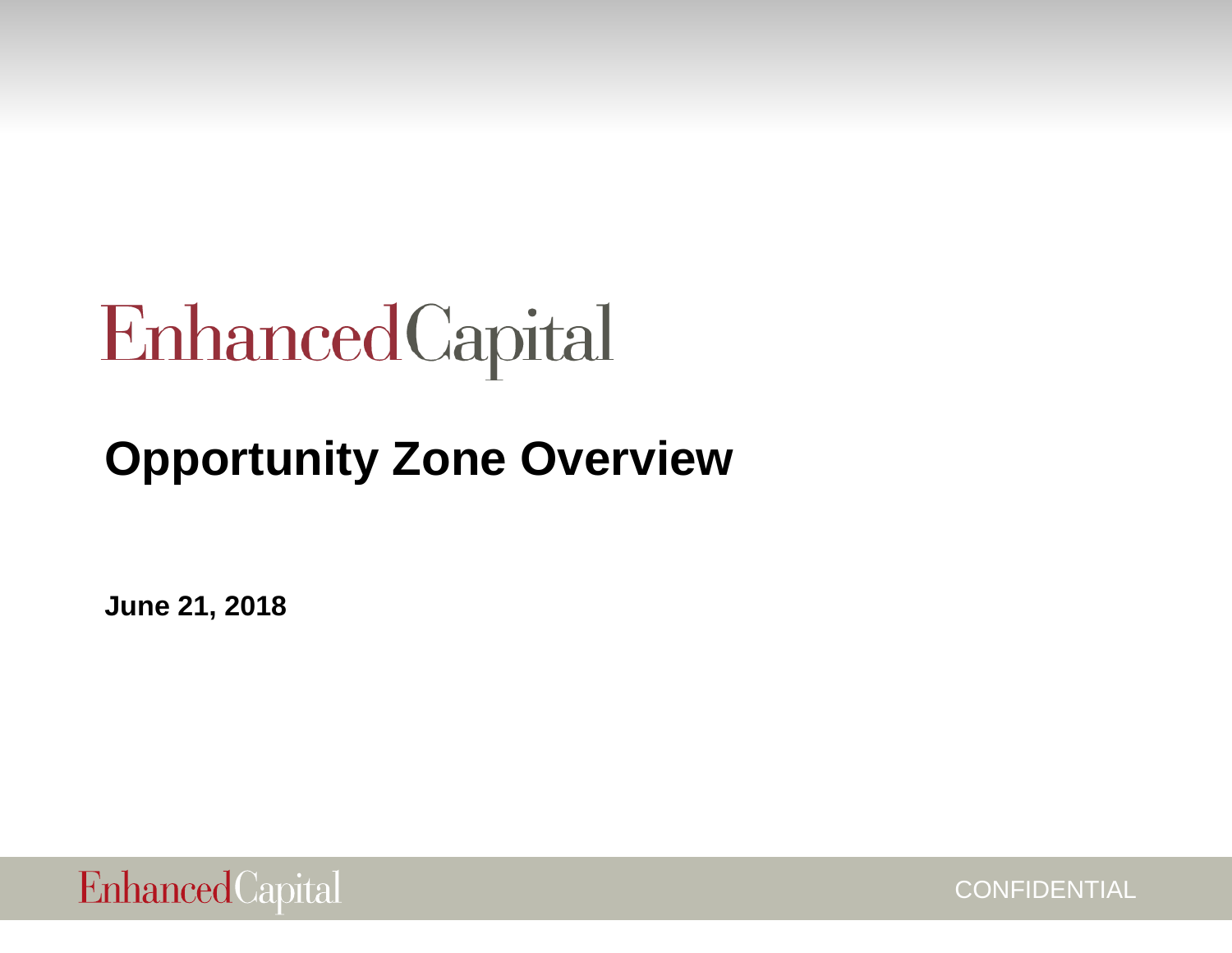# EnhancedCapital

# **Opportunity Zone Overview**

**June 21, 2018**



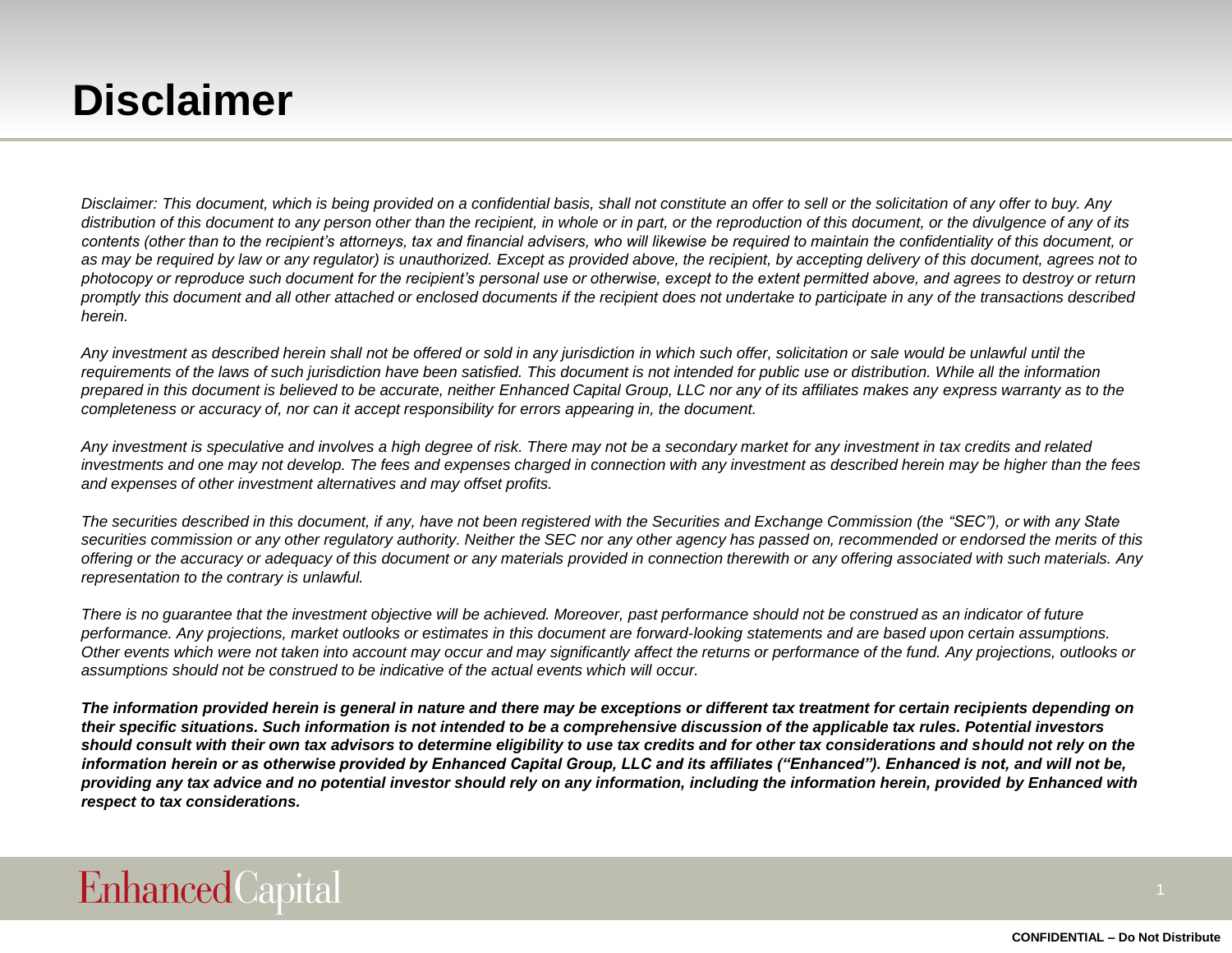### **Disclaimer**

*Disclaimer: This document, which is being provided on a confidential basis, shall not constitute an offer to sell or the solicitation of any offer to buy. Any distribution of this document to any person other than the recipient, in whole or in part, or the reproduction of this document, or the divulgence of any of its contents (other than to the recipient's attorneys, tax and financial advisers, who will likewise be required to maintain the confidentiality of this document, or as may be required by law or any regulator) is unauthorized. Except as provided above, the recipient, by accepting delivery of this document, agrees not to photocopy or reproduce such document for the recipient's personal use or otherwise, except to the extent permitted above, and agrees to destroy or return promptly this document and all other attached or enclosed documents if the recipient does not undertake to participate in any of the transactions described herein.*

*Any investment as described herein shall not be offered or sold in any jurisdiction in which such offer, solicitation or sale would be unlawful until the requirements of the laws of such jurisdiction have been satisfied. This document is not intended for public use or distribution. While all the information prepared in this document is believed to be accurate, neither Enhanced Capital Group, LLC nor any of its affiliates makes any express warranty as to the completeness or accuracy of, nor can it accept responsibility for errors appearing in, the document.*

*Any investment is speculative and involves a high degree of risk. There may not be a secondary market for any investment in tax credits and related investments and one may not develop. The fees and expenses charged in connection with any investment as described herein may be higher than the fees and expenses of other investment alternatives and may offset profits.*

*The securities described in this document, if any, have not been registered with the Securities and Exchange Commission (the "SEC"), or with any State securities commission or any other regulatory authority. Neither the SEC nor any other agency has passed on, recommended or endorsed the merits of this offering or the accuracy or adequacy of this document or any materials provided in connection therewith or any offering associated with such materials. Any representation to the contrary is unlawful.*

*There is no guarantee that the investment objective will be achieved. Moreover, past performance should not be construed as an indicator of future*  performance. Any projections, market outlooks or estimates in this document are forward-looking statements and are based upon certain assumptions. *Other events which were not taken into account may occur and may significantly affect the returns or performance of the fund. Any projections, outlooks or assumptions should not be construed to be indicative of the actual events which will occur.*

*The information provided herein is general in nature and there may be exceptions or different tax treatment for certain recipients depending on their specific situations. Such information is not intended to be a comprehensive discussion of the applicable tax rules. Potential investors should consult with their own tax advisors to determine eligibility to use tax credits and for other tax considerations and should not rely on the information herein or as otherwise provided by Enhanced Capital Group, LLC and its affiliates ("Enhanced"). Enhanced is not, and will not be, providing any tax advice and no potential investor should rely on any information, including the information herein, provided by Enhanced with respect to tax considerations.*

#### **Enhanced** Capital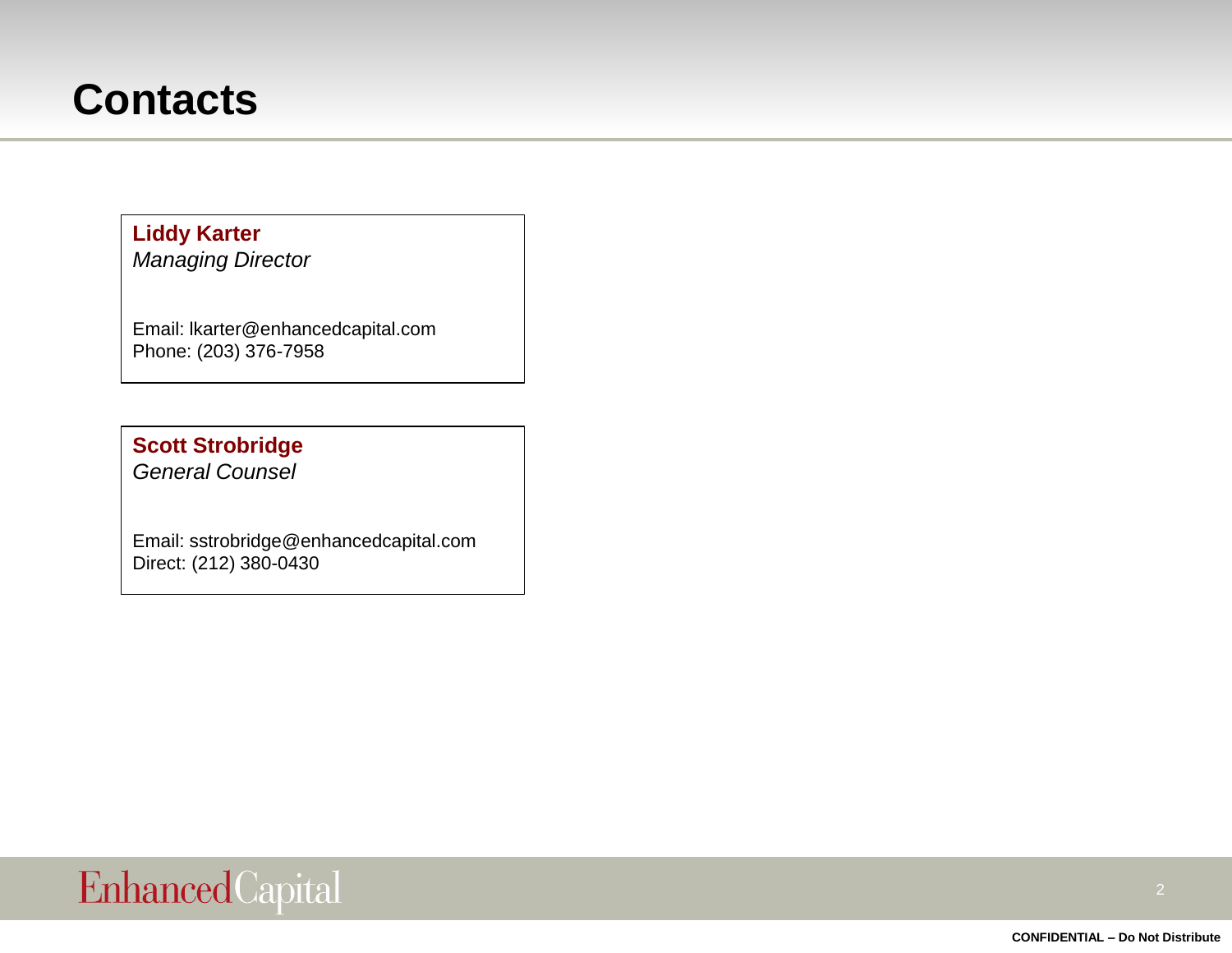#### **Contacts**

#### **Liddy Karter**

*Managing Director*

Email: lkarter@enhancedcapital.com Phone: (203) 376-7958

#### **Scott Strobridge**

*General Counsel*

Email: sstrobridge@enhancedcapital.com Direct: (212) 380-0430

### EnhancedCapital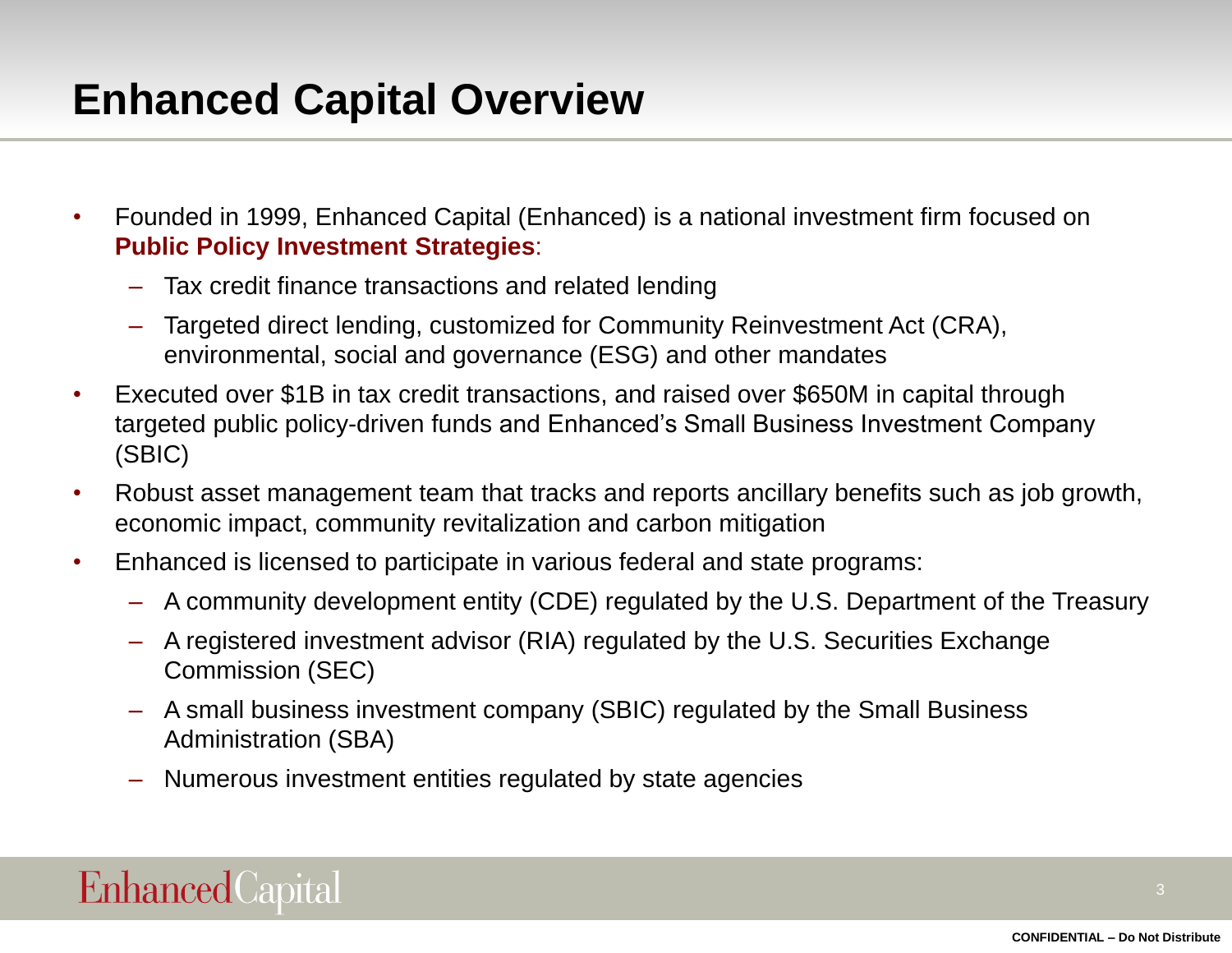### **Enhanced Capital Overview**

- Founded in 1999, Enhanced Capital (Enhanced) is a national investment firm focused on **Public Policy Investment Strategies**:
	- Tax credit finance transactions and related lending
	- Targeted direct lending, customized for Community Reinvestment Act (CRA), environmental, social and governance (ESG) and other mandates
- Executed over \$1B in tax credit transactions, and raised over \$650M in capital through targeted public policy-driven funds and Enhanced's Small Business Investment Company (SBIC)
- Robust asset management team that tracks and reports ancillary benefits such as job growth, economic impact, community revitalization and carbon mitigation
- Enhanced is licensed to participate in various federal and state programs:
	- A community development entity (CDE) regulated by the U.S. Department of the Treasury
	- A registered investment advisor (RIA) regulated by the U.S. Securities Exchange Commission (SEC)
	- A small business investment company (SBIC) regulated by the Small Business Administration (SBA)
	- Numerous investment entities regulated by state agencies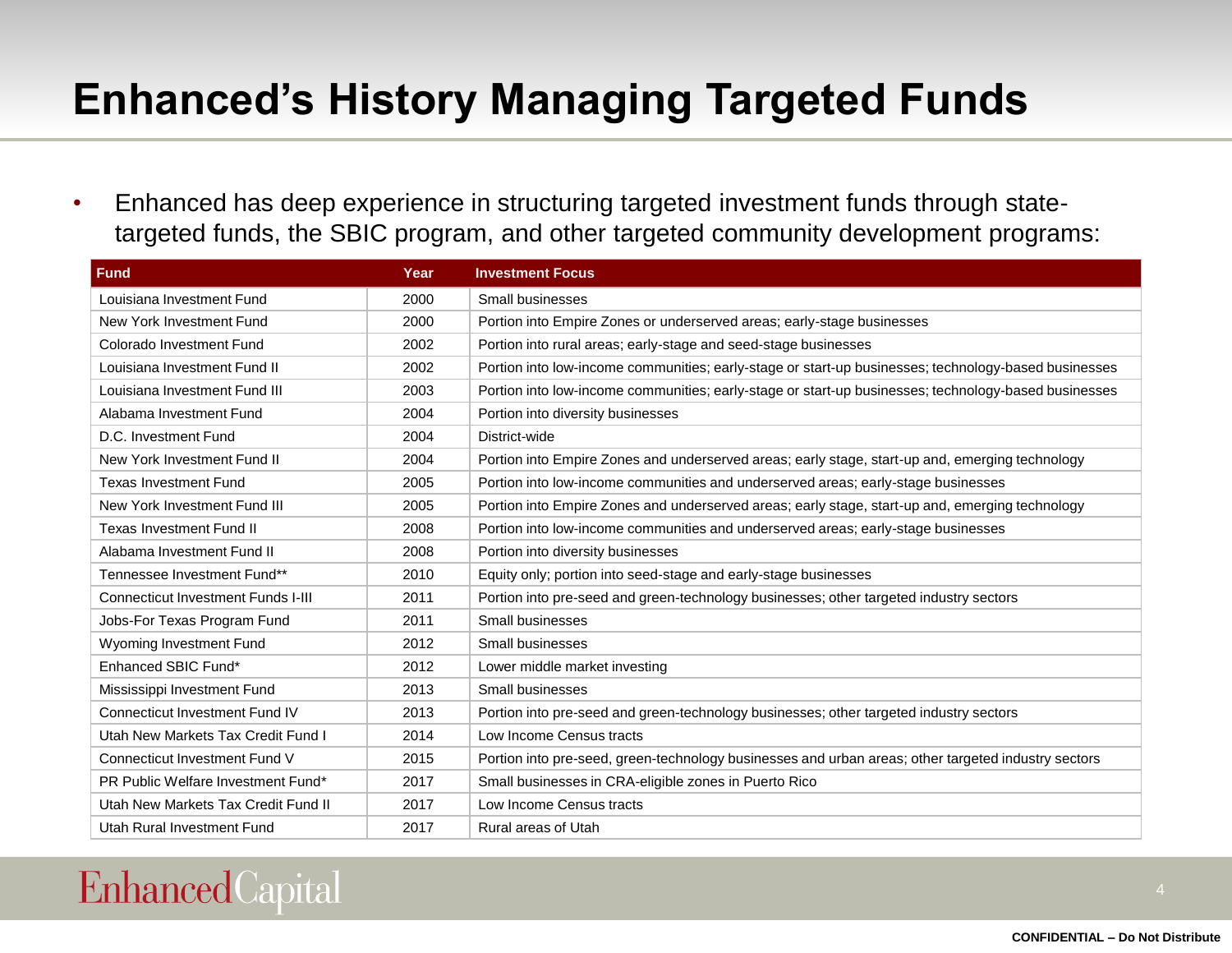# **Enhanced's History Managing Targeted Funds**

• Enhanced has deep experience in structuring targeted investment funds through statetargeted funds, the SBIC program, and other targeted community development programs:

| <b>Fund</b>                               | Year | <b>Investment Focus</b>                                                                              |
|-------------------------------------------|------|------------------------------------------------------------------------------------------------------|
| Louisiana Investment Fund                 | 2000 | Small businesses                                                                                     |
| New York Investment Fund                  | 2000 | Portion into Empire Zones or underserved areas; early-stage businesses                               |
| Colorado Investment Fund                  | 2002 | Portion into rural areas; early-stage and seed-stage businesses                                      |
| Louisiana Investment Fund II              | 2002 | Portion into low-income communities; early-stage or start-up businesses; technology-based businesses |
| Louisiana Investment Fund III             | 2003 | Portion into low-income communities; early-stage or start-up businesses; technology-based businesses |
| Alabama Investment Fund                   | 2004 | Portion into diversity businesses                                                                    |
| D.C. Investment Fund                      | 2004 | District-wide                                                                                        |
| New York Investment Fund II               | 2004 | Portion into Empire Zones and underserved areas; early stage, start-up and, emerging technology      |
| <b>Texas Investment Fund</b>              | 2005 | Portion into low-income communities and underserved areas; early-stage businesses                    |
| New York Investment Fund III              | 2005 | Portion into Empire Zones and underserved areas; early stage, start-up and, emerging technology      |
| <b>Texas Investment Fund II</b>           | 2008 | Portion into low-income communities and underserved areas; early-stage businesses                    |
| Alabama Investment Fund II                | 2008 | Portion into diversity businesses                                                                    |
| Tennessee Investment Fund**               | 2010 | Equity only; portion into seed-stage and early-stage businesses                                      |
| <b>Connecticut Investment Funds I-III</b> | 2011 | Portion into pre-seed and green-technology businesses; other targeted industry sectors               |
| Jobs-For Texas Program Fund               | 2011 | Small businesses                                                                                     |
| Wyoming Investment Fund                   | 2012 | Small businesses                                                                                     |
| Enhanced SBIC Fund*                       | 2012 | Lower middle market investing                                                                        |
| Mississippi Investment Fund               | 2013 | Small businesses                                                                                     |
| <b>Connecticut Investment Fund IV</b>     | 2013 | Portion into pre-seed and green-technology businesses; other targeted industry sectors               |
| Utah New Markets Tax Credit Fund I        | 2014 | Low Income Census tracts                                                                             |
| Connecticut Investment Fund V             | 2015 | Portion into pre-seed, green-technology businesses and urban areas; other targeted industry sectors  |
| PR Public Welfare Investment Fund*        | 2017 | Small businesses in CRA-eligible zones in Puerto Rico                                                |
| Utah New Markets Tax Credit Fund II       | 2017 | Low Income Census tracts                                                                             |
| Utah Rural Investment Fund                | 2017 | Rural areas of Utah                                                                                  |

#### **Enhanced** Capital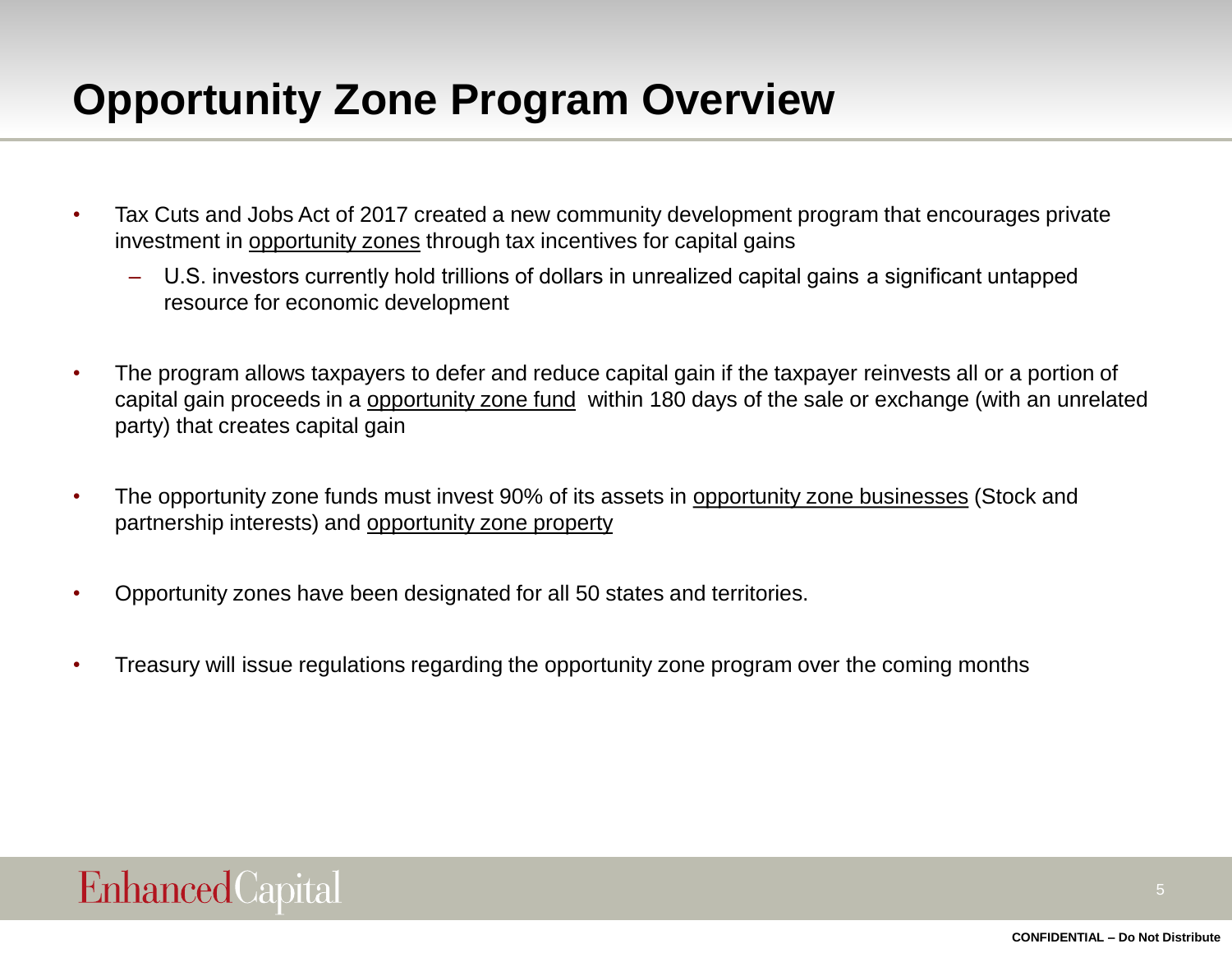## **Opportunity Zone Program Overview**

- Tax Cuts and Jobs Act of 2017 created a new community development program that encourages private investment in opportunity zones through tax incentives for capital gains
	- U.S. investors currently hold trillions of dollars in unrealized capital gains  a significant untapped resource for economic development
- The program allows taxpayers to defer and reduce capital gain if the taxpayer reinvests all or a portion of capital gain proceeds in a opportunity zone fund within 180 days of the sale or exchange (with an unrelated party) that creates capital gain
- The opportunity zone funds must invest 90% of its assets in opportunity zone businesses (Stock and partnership interests) and opportunity zone property
- Opportunity zones have been designated for all 50 states and territories.
- Treasury will issue regulations regarding the opportunity zone program over the coming months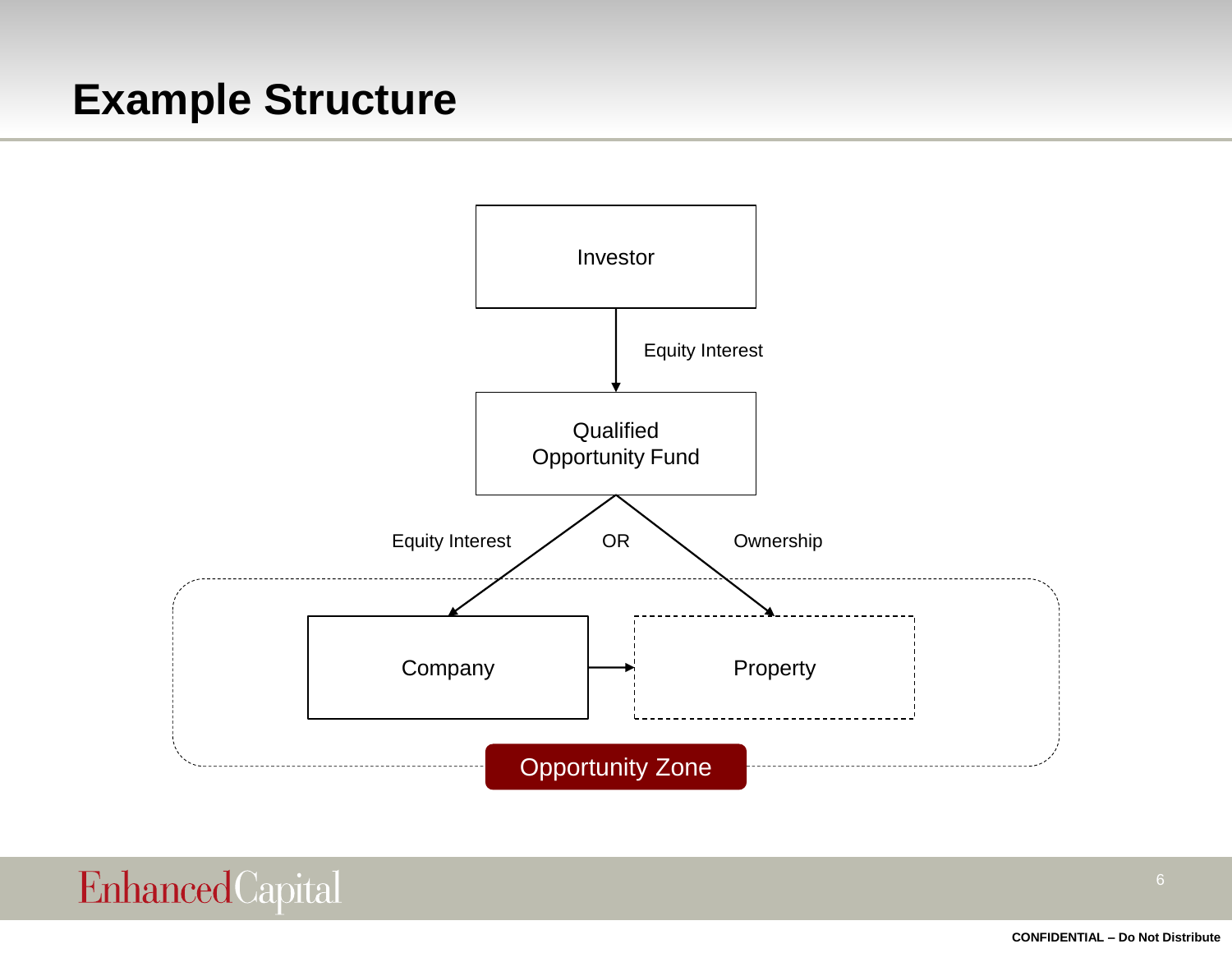#### **Example Structure**

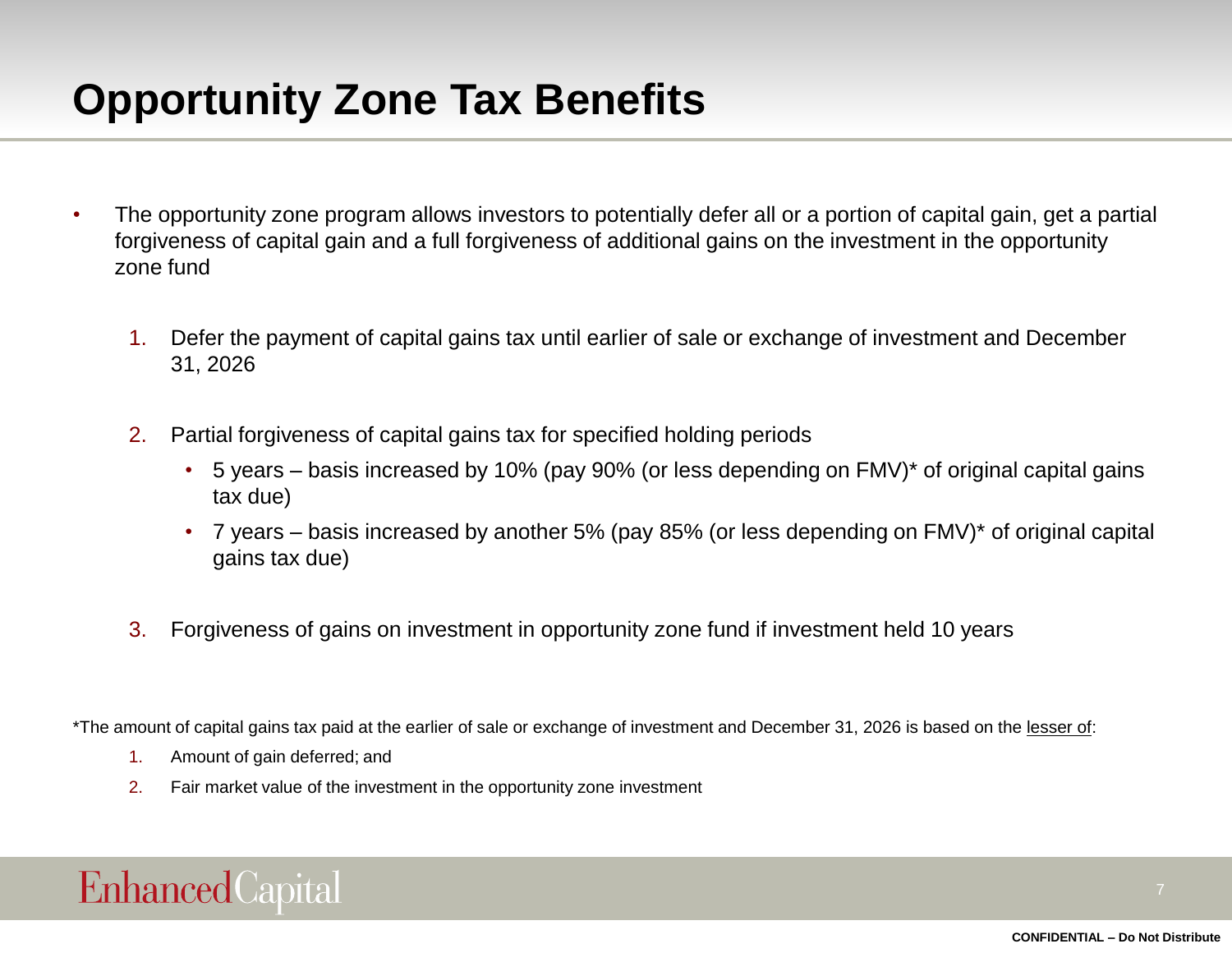# **Opportunity Zone Tax Benefits**

- The opportunity zone program allows investors to potentially defer all or a portion of capital gain, get a partial forgiveness of capital gain and a full forgiveness of additional gains on the investment in the opportunity zone fund
	- 1. Defer the payment of capital gains tax until earlier of sale or exchange of investment and December 31, 2026
	- 2. Partial forgiveness of capital gains tax for specified holding periods
		- 5 years basis increased by 10% (pay 90% (or less depending on FMV)\* of original capital gains tax due)
		- 7 years basis increased by another 5% (pay 85% (or less depending on FMV)\* of original capital gains tax due)
	- 3. Forgiveness of gains on investment in opportunity zone fund if investment held 10 years

\*The amount of capital gains tax paid at the earlier of sale or exchange of investment and December 31, 2026 is based on the lesser of:

- 1. Amount of gain deferred; and
- 2. Fair market value of the investment in the opportunity zone investment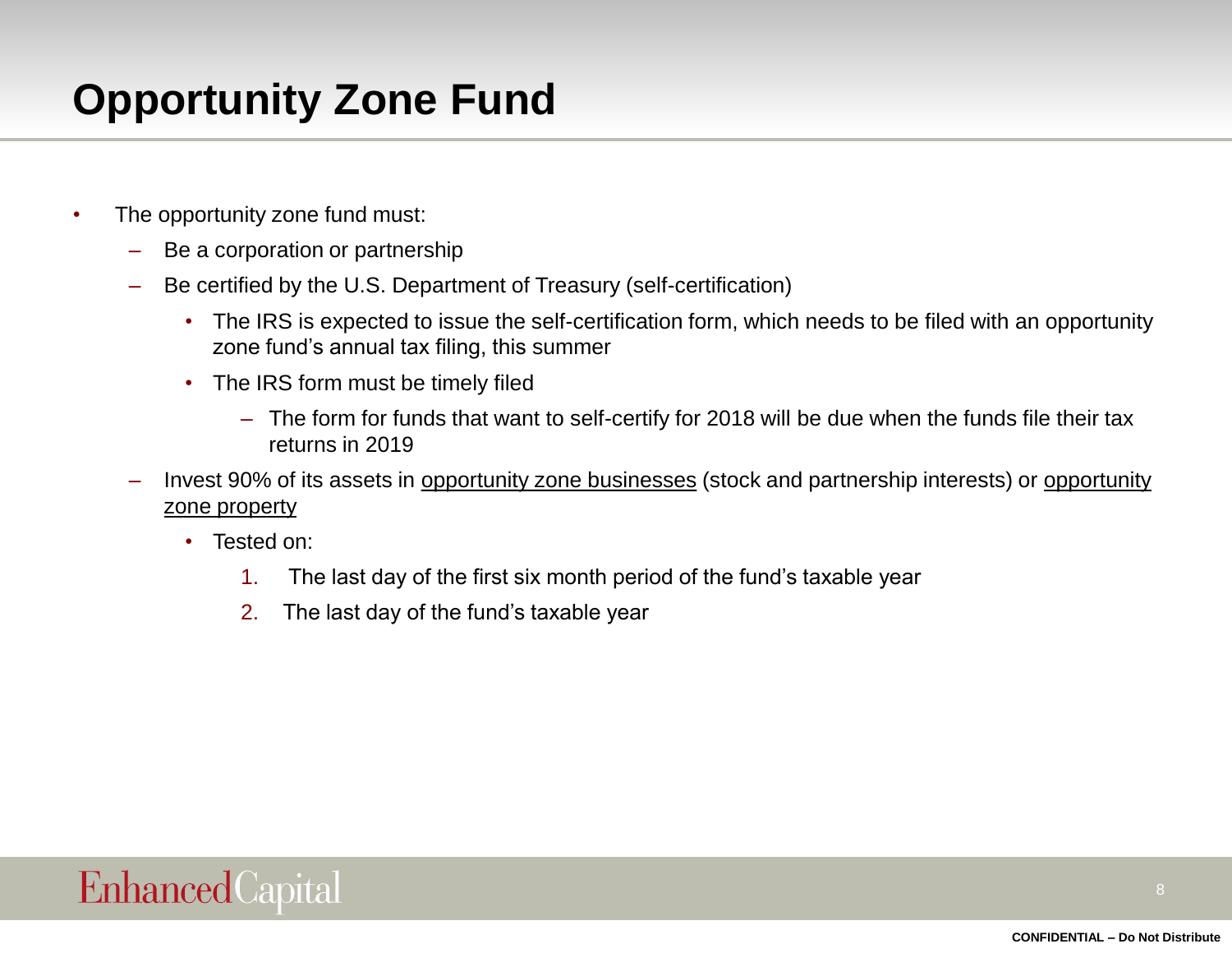# **Opportunity Zone Fund**

- The opportunity zone fund must:
	- Be a corporation or partnership
	- Be certified by the U.S. Department of Treasury (self-certification)
		- The IRS is expected to issue the self-certification form, which needs to be filed with an opportunity zone fund's annual tax filing, this summer
		- The IRS form must be timely filed
			- The form for funds that want to self-certify for 2018 will be due when the funds file their tax returns in 2019
	- Invest 90% of its assets in opportunity zone businesses (stock and partnership interests) or opportunity zone property
		- Tested on:
			- 1. The last day of the first six month period of the fund's taxable year
			- 2. The last day of the fund's taxable year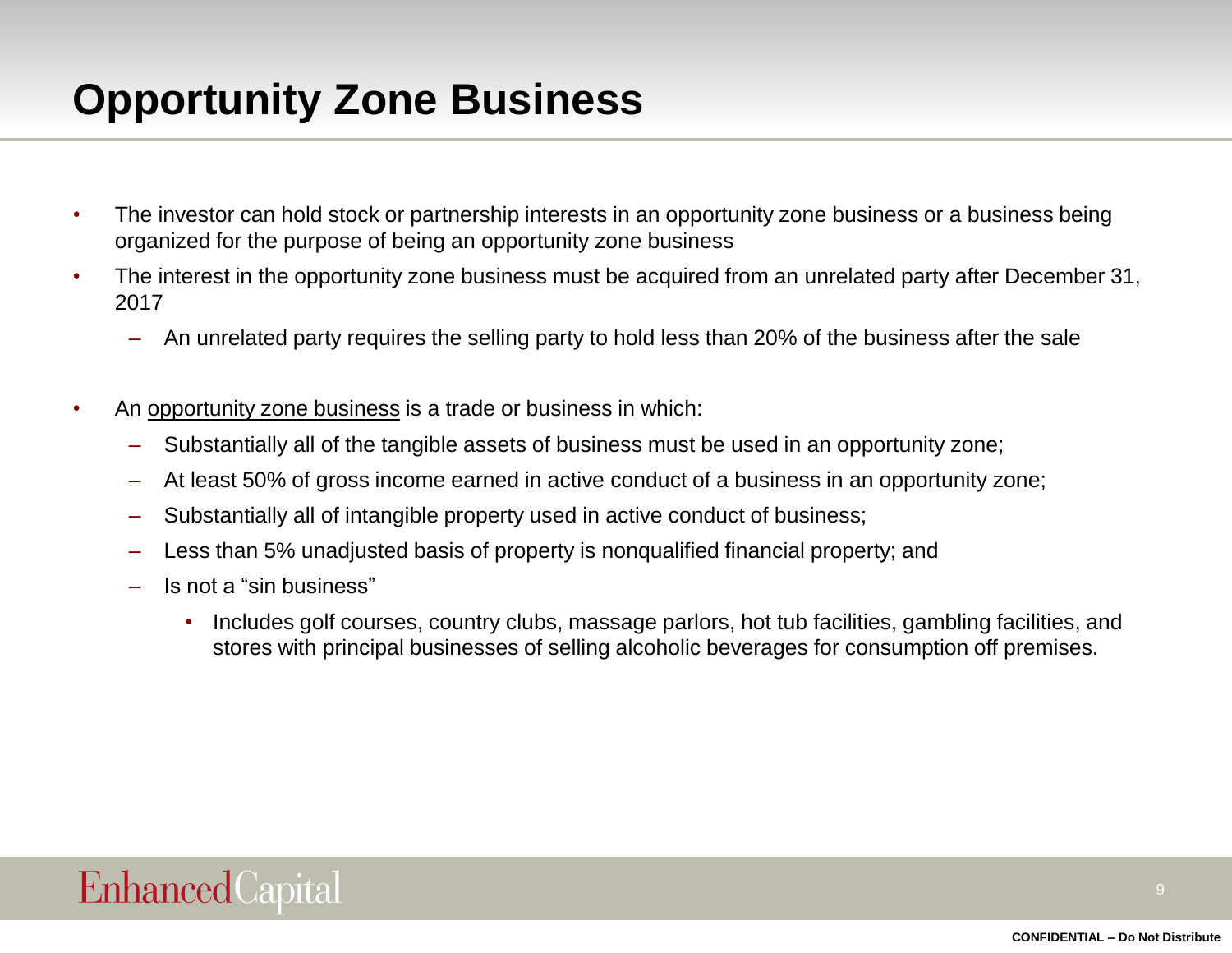# **Opportunity Zone Business**

- The investor can hold stock or partnership interests in an opportunity zone business or a business being organized for the purpose of being an opportunity zone business
- The interest in the opportunity zone business must be acquired from an unrelated party after December 31, 2017
	- An unrelated party requires the selling party to hold less than 20% of the business after the sale
- An opportunity zone business is a trade or business in which:
	- Substantially all of the tangible assets of business must be used in an opportunity zone;
	- At least 50% of gross income earned in active conduct of a business in an opportunity zone;
	- Substantially all of intangible property used in active conduct of business;
	- Less than 5% unadjusted basis of property is nonqualified financial property; and
	- Is not a "sin business"
		- Includes golf courses, country clubs, massage parlors, hot tub facilities, gambling facilities, and stores with principal businesses of selling alcoholic beverages for consumption off premises.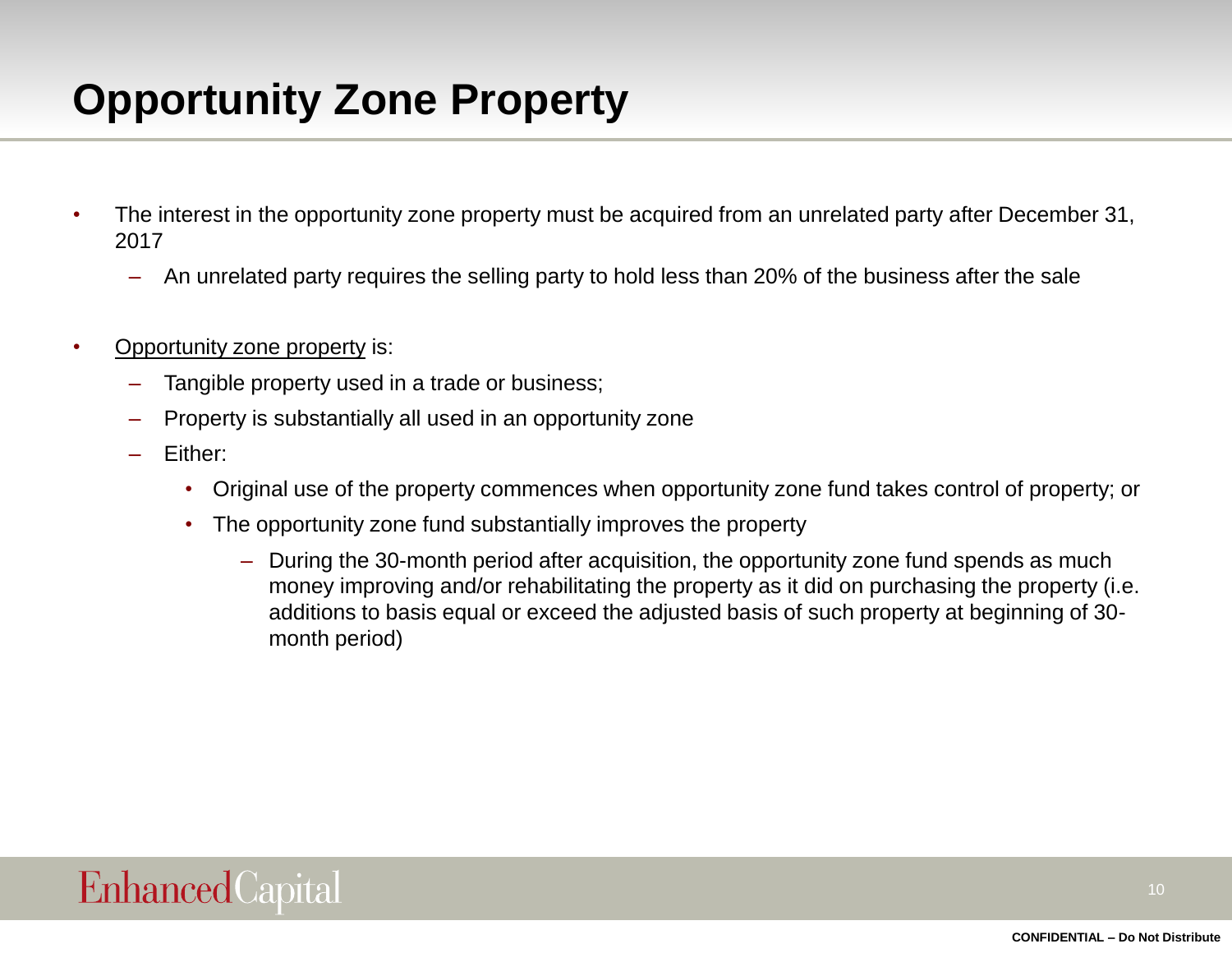# **Opportunity Zone Property**

- The interest in the opportunity zone property must be acquired from an unrelated party after December 31, 2017
	- An unrelated party requires the selling party to hold less than 20% of the business after the sale
- Opportunity zone property is:
	- Tangible property used in a trade or business;
	- Property is substantially all used in an opportunity zone
	- Either:
		- Original use of the property commences when opportunity zone fund takes control of property; or
		- The opportunity zone fund substantially improves the property
			- During the 30-month period after acquisition, the opportunity zone fund spends as much money improving and/or rehabilitating the property as it did on purchasing the property (i.e. additions to basis equal or exceed the adjusted basis of such property at beginning of 30 month period)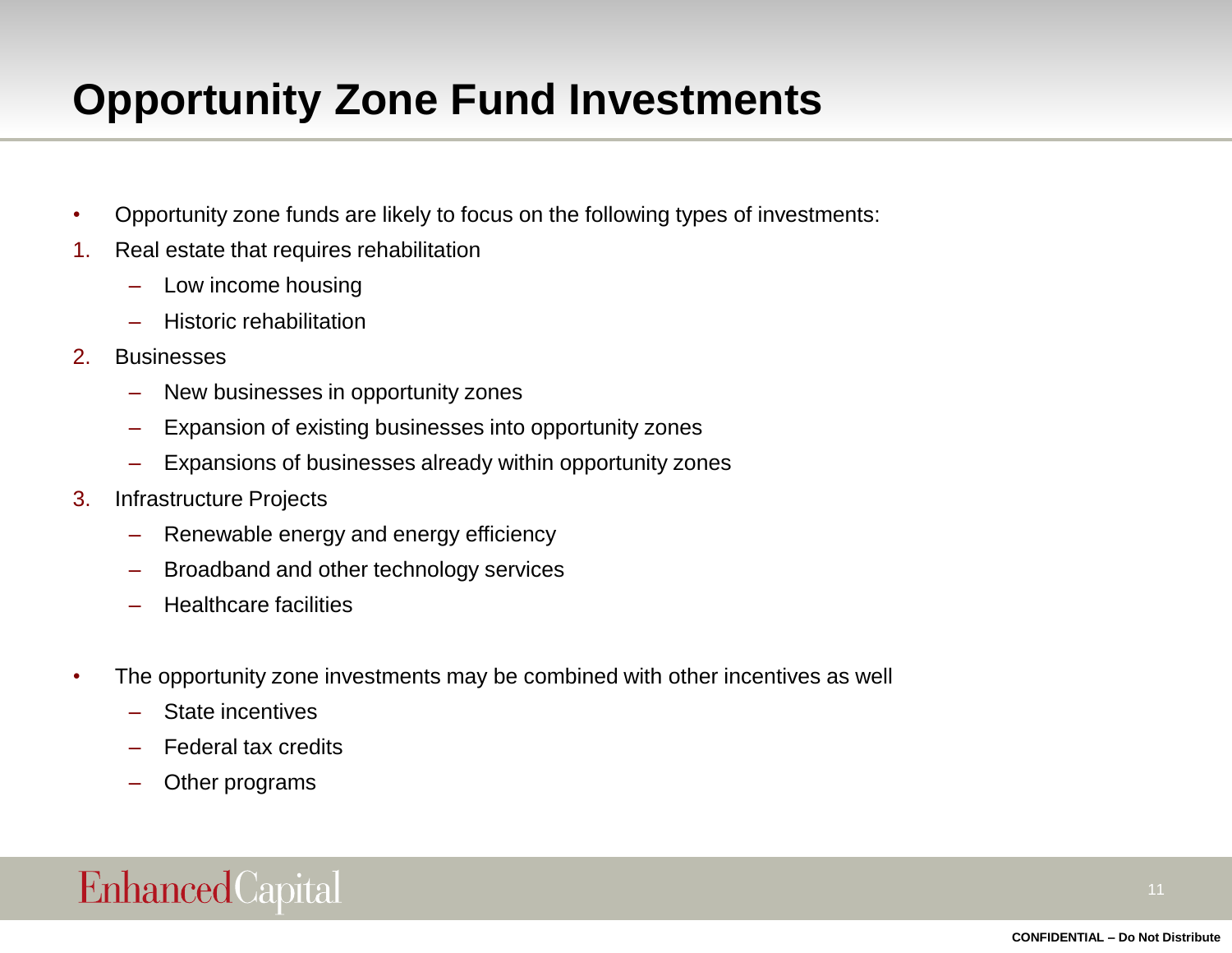# **Opportunity Zone Fund Investments**

- Opportunity zone funds are likely to focus on the following types of investments:
- 1. Real estate that requires rehabilitation
	- Low income housing
	- Historic rehabilitation
- 2. Businesses
	- New businesses in opportunity zones
	- Expansion of existing businesses into opportunity zones
	- Expansions of businesses already within opportunity zones
- 3. Infrastructure Projects
	- Renewable energy and energy efficiency
	- Broadband and other technology services
	- Healthcare facilities
- The opportunity zone investments may be combined with other incentives as well
	- State incentives
	- Federal tax credits
	- Other programs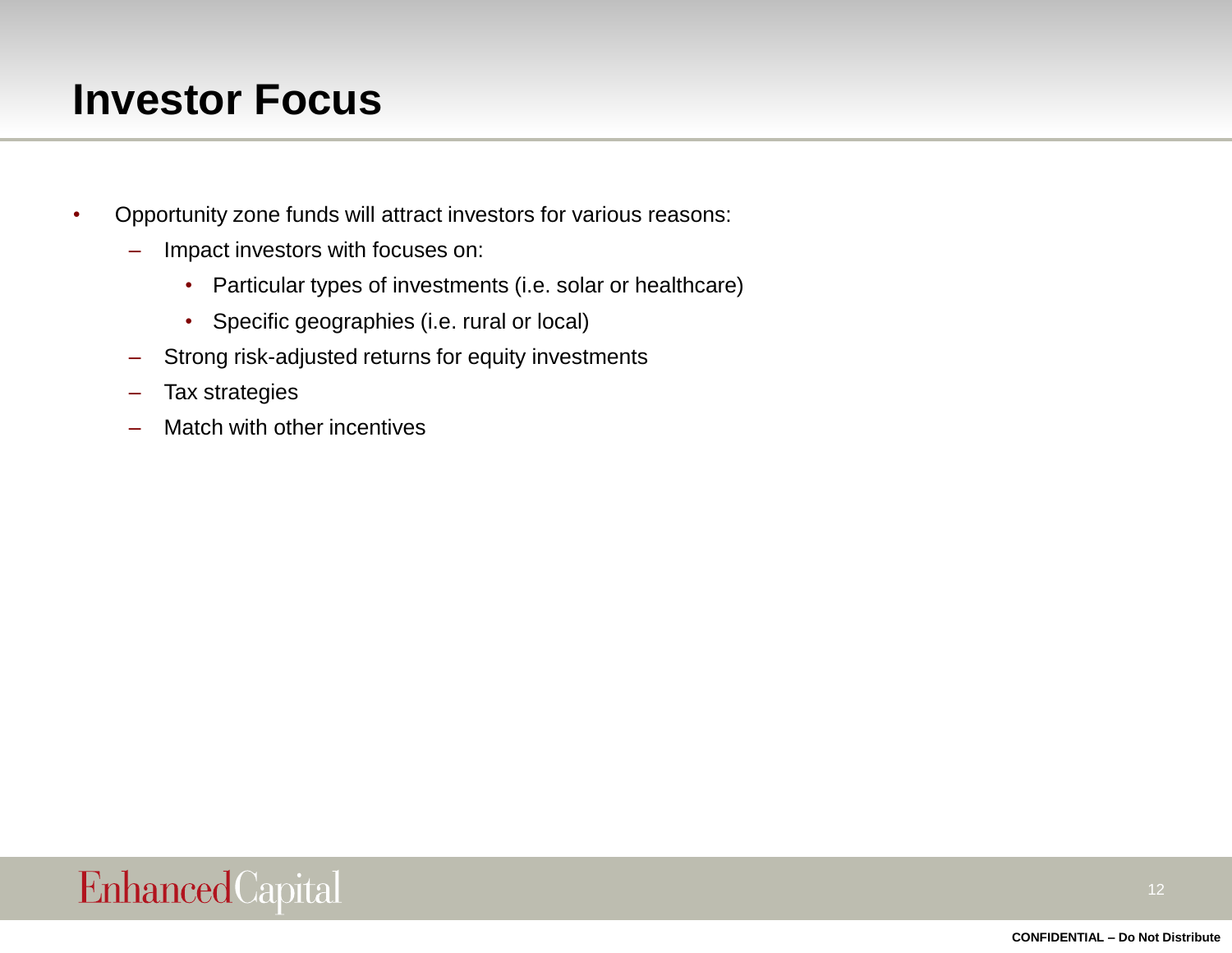### **Investor Focus**

- Opportunity zone funds will attract investors for various reasons:
	- Impact investors with focuses on:
		- Particular types of investments (i.e. solar or healthcare)
		- Specific geographies (i.e. rural or local)
	- Strong risk-adjusted returns for equity investments
	- Tax strategies
	- Match with other incentives